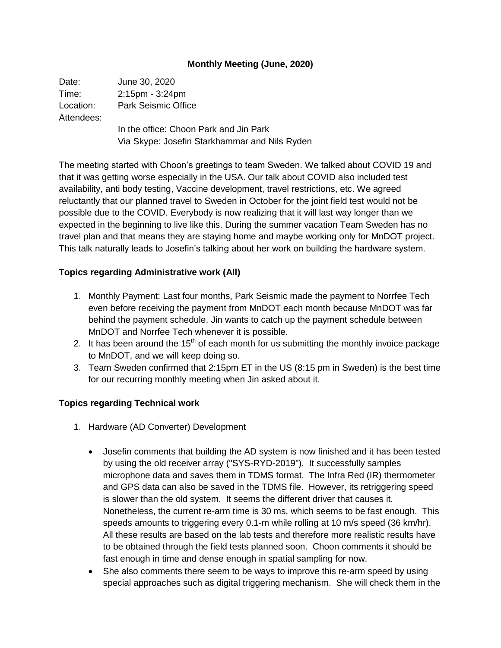## **Monthly Meeting (June, 2020)**

| Date:                   | June 30, 2020                                 |
|-------------------------|-----------------------------------------------|
| Time:                   | $2:15$ pm - $3:24$ pm                         |
| Location:<br>Attendees: | <b>Park Seismic Office</b>                    |
|                         | In the office: Choon Park and Jin Park        |
|                         | Via Skype: Josefin Starkhammar and Nils Ryden |

The meeting started with Choon's greetings to team Sweden. We talked about COVID 19 and that it was getting worse especially in the USA. Our talk about COVID also included test availability, anti body testing, Vaccine development, travel restrictions, etc. We agreed reluctantly that our planned travel to Sweden in October for the joint field test would not be possible due to the COVID. Everybody is now realizing that it will last way longer than we expected in the beginning to live like this. During the summer vacation Team Sweden has no travel plan and that means they are staying home and maybe working only for MnDOT project. This talk naturally leads to Josefin's talking about her work on building the hardware system.

## **Topics regarding Administrative work (All)**

- 1. Monthly Payment: Last four months, Park Seismic made the payment to Norrfee Tech even before receiving the payment from MnDOT each month because MnDOT was far behind the payment schedule. Jin wants to catch up the payment schedule between MnDOT and Norrfee Tech whenever it is possible.
- 2. It has been around the  $15<sup>th</sup>$  of each month for us submitting the monthly invoice package to MnDOT, and we will keep doing so.
- 3. Team Sweden confirmed that 2:15pm ET in the US (8:15 pm in Sweden) is the best time for our recurring monthly meeting when Jin asked about it.

## **Topics regarding Technical work**

- 1. Hardware (AD Converter) Development
	- Josefin comments that building the AD system is now finished and it has been tested by using the old receiver array ("SYS-RYD-2019"). It successfully samples microphone data and saves them in TDMS format. The Infra Red (IR) thermometer and GPS data can also be saved in the TDMS file. However, its retriggering speed is slower than the old system. It seems the different driver that causes it. Nonetheless, the current re-arm time is 30 ms, which seems to be fast enough. This speeds amounts to triggering every 0.1-m while rolling at 10 m/s speed (36 km/hr). All these results are based on the lab tests and therefore more realistic results have to be obtained through the field tests planned soon. Choon comments it should be fast enough in time and dense enough in spatial sampling for now.
	- She also comments there seem to be ways to improve this re-arm speed by using special approaches such as digital triggering mechanism. She will check them in the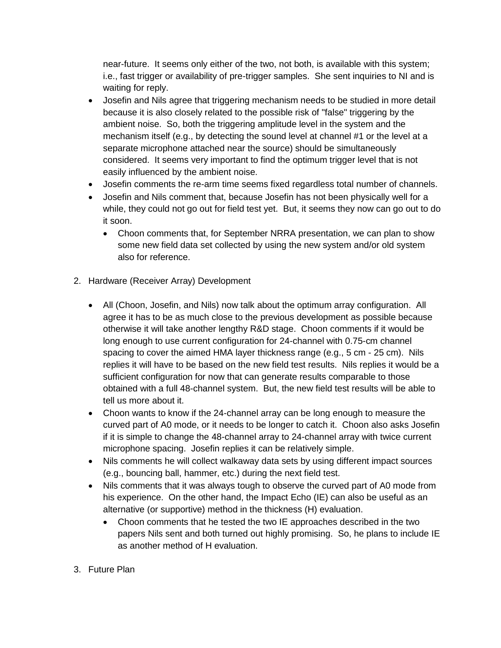near-future. It seems only either of the two, not both, is available with this system; i.e., fast trigger or availability of pre-trigger samples. She sent inquiries to NI and is waiting for reply.

- Josefin and Nils agree that triggering mechanism needs to be studied in more detail because it is also closely related to the possible risk of "false" triggering by the ambient noise. So, both the triggering amplitude level in the system and the mechanism itself (e.g., by detecting the sound level at channel #1 or the level at a separate microphone attached near the source) should be simultaneously considered. It seems very important to find the optimum trigger level that is not easily influenced by the ambient noise.
- Josefin comments the re-arm time seems fixed regardless total number of channels.
- Josefin and Nils comment that, because Josefin has not been physically well for a while, they could not go out for field test yet. But, it seems they now can go out to do it soon.
	- Choon comments that, for September NRRA presentation, we can plan to show some new field data set collected by using the new system and/or old system also for reference.
- 2. Hardware (Receiver Array) Development
	- All (Choon, Josefin, and Nils) now talk about the optimum array configuration. All agree it has to be as much close to the previous development as possible because otherwise it will take another lengthy R&D stage. Choon comments if it would be long enough to use current configuration for 24-channel with 0.75-cm channel spacing to cover the aimed HMA layer thickness range (e.g., 5 cm - 25 cm). Nils replies it will have to be based on the new field test results. Nils replies it would be a sufficient configuration for now that can generate results comparable to those obtained with a full 48-channel system. But, the new field test results will be able to tell us more about it.
	- Choon wants to know if the 24-channel array can be long enough to measure the curved part of A0 mode, or it needs to be longer to catch it. Choon also asks Josefin if it is simple to change the 48-channel array to 24-channel array with twice current microphone spacing. Josefin replies it can be relatively simple.
	- Nils comments he will collect walkaway data sets by using different impact sources (e.g., bouncing ball, hammer, etc.) during the next field test.
	- Nils comments that it was always tough to observe the curved part of A0 mode from his experience. On the other hand, the Impact Echo (IE) can also be useful as an alternative (or supportive) method in the thickness (H) evaluation.
		- Choon comments that he tested the two IE approaches described in the two papers Nils sent and both turned out highly promising. So, he plans to include IE as another method of H evaluation.
- 3. Future Plan